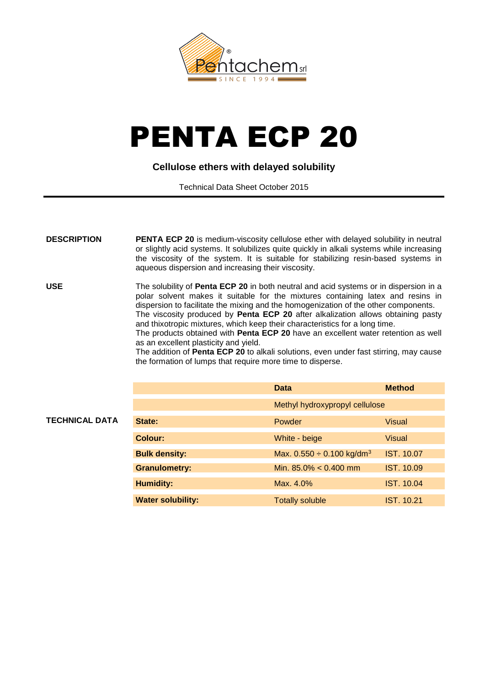

## PENTA ECP 20

## **Cellulose ethers with delayed solubility**

Technical Data Sheet October 2015

| <b>DESCRIPTION</b>    | <b>PENTA ECP 20</b> is medium-viscosity cellulose ether with delayed solubility in neutral<br>or slightly acid systems. It solubilizes quite quickly in alkali systems while increasing<br>the viscosity of the system. It is suitable for stabilizing resin-based systems in<br>aqueous dispersion and increasing their viscosity.                                                                                                                                                                                                                                                                                                                                                                                     |                                            |                   |
|-----------------------|-------------------------------------------------------------------------------------------------------------------------------------------------------------------------------------------------------------------------------------------------------------------------------------------------------------------------------------------------------------------------------------------------------------------------------------------------------------------------------------------------------------------------------------------------------------------------------------------------------------------------------------------------------------------------------------------------------------------------|--------------------------------------------|-------------------|
| <b>USE</b>            | The solubility of Penta ECP 20 in both neutral and acid systems or in dispersion in a<br>polar solvent makes it suitable for the mixtures containing latex and resins in<br>dispersion to facilitate the mixing and the homogenization of the other components.<br>The viscosity produced by Penta ECP 20 after alkalization allows obtaining pasty<br>and thixotropic mixtures, which keep their characteristics for a long time.<br>The products obtained with Penta ECP 20 have an excellent water retention as well<br>as an excellent plasticity and yield.<br>The addition of Penta ECP 20 to alkali solutions, even under fast stirring, may cause<br>the formation of lumps that require more time to disperse. |                                            |                   |
|                       |                                                                                                                                                                                                                                                                                                                                                                                                                                                                                                                                                                                                                                                                                                                         | <b>Data</b>                                | <b>Method</b>     |
|                       |                                                                                                                                                                                                                                                                                                                                                                                                                                                                                                                                                                                                                                                                                                                         | Methyl hydroxypropyl cellulose             |                   |
| <b>TECHNICAL DATA</b> | State:                                                                                                                                                                                                                                                                                                                                                                                                                                                                                                                                                                                                                                                                                                                  | Powder                                     | <b>Visual</b>     |
|                       | <b>Colour:</b>                                                                                                                                                                                                                                                                                                                                                                                                                                                                                                                                                                                                                                                                                                          | White - beige                              | <b>Visual</b>     |
|                       | <b>Bulk density:</b>                                                                                                                                                                                                                                                                                                                                                                                                                                                                                                                                                                                                                                                                                                    | Max. $0.550 \div 0.100$ kg/dm <sup>3</sup> | <b>IST. 10.07</b> |
|                       | <b>Granulometry:</b>                                                                                                                                                                                                                                                                                                                                                                                                                                                                                                                                                                                                                                                                                                    | Min. $85.0\% < 0.400$ mm                   | <b>IST. 10.09</b> |
|                       |                                                                                                                                                                                                                                                                                                                                                                                                                                                                                                                                                                                                                                                                                                                         |                                            |                   |
|                       | <b>Humidity:</b>                                                                                                                                                                                                                                                                                                                                                                                                                                                                                                                                                                                                                                                                                                        | Max. 4.0%                                  | <b>IST. 10.04</b> |